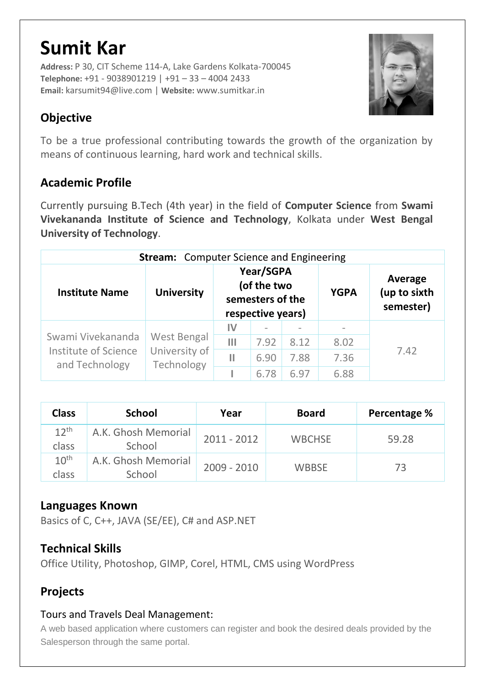# **Sumit Kar**

**Address:** P 30, CIT Scheme 114-A, Lake Gardens Kolkata-700045 **Telephone:** +91 - 9038901219 | +91 – 33 – 4004 2433 **Email:** karsumit94@live.com | **Website:** www.sumitkar.in



# **Objective**

To be a true professional contributing towards the growth of the organization by means of continuous learning, hard work and technical skills.

## **Academic Profile**

Currently pursuing B.Tech (4th year) in the field of **Computer Science** from **Swami Vivekananda Institute of Science and Technology**, Kolkata under **West Bengal University of Technology**.

| <b>Stream:</b> Computer Science and Engineering             |                                            |                                                                   |      |      |             |                                      |  |  |
|-------------------------------------------------------------|--------------------------------------------|-------------------------------------------------------------------|------|------|-------------|--------------------------------------|--|--|
| <b>Institute Name</b>                                       | <b>University</b>                          | Year/SGPA<br>(of the two<br>semesters of the<br>respective years) |      |      | <b>YGPA</b> | Average<br>(up to sixth<br>semester) |  |  |
| Swami Vivekananda<br>Institute of Science<br>and Technology | West Bengal<br>University of<br>Technology | $\mathsf{IV}$                                                     |      |      |             | 7.42                                 |  |  |
|                                                             |                                            | $\mathbf{III}$                                                    | 7.92 | 8.12 | 8.02        |                                      |  |  |
|                                                             |                                            | Ш                                                                 | 6.90 | 7.88 | 7.36        |                                      |  |  |
|                                                             |                                            |                                                                   | 6.78 | 6.97 | 6.88        |                                      |  |  |

| <b>Class</b>              | <b>School</b>                 | Year          | <b>Board</b>  | Percentage % |
|---------------------------|-------------------------------|---------------|---------------|--------------|
| $12^{th}$<br>class        | A.K. Ghosh Memorial<br>School | $2011 - 2012$ | <b>WBCHSE</b> | 59.28        |
| 10 <sup>th</sup><br>class | A.K. Ghosh Memorial<br>School | $2009 - 2010$ | <b>WBBSE</b>  | 73           |

## **Languages Known**

Basics of C, C++, JAVA (SE/EE), C# and ASP.NET

#### **Technical Skills**

Office Utility, Photoshop, GIMP, Corel, HTML, CMS using WordPress

## **Projects**

#### Tours and Travels Deal Management:

A web based application where customers can register and book the desired deals provided by the Salesperson through the same portal.